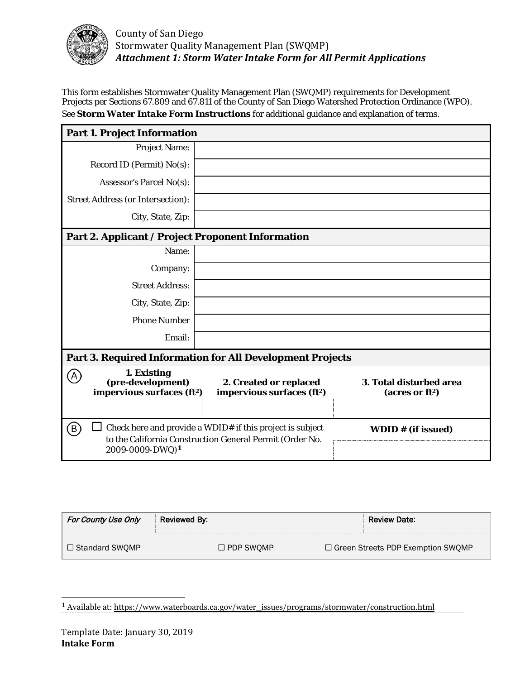

This form establishes Stormwater Quality Management Plan (SWQMP) requirements for Development Projects per Sections 67.809 and 67.811 of the County of San Diego Watershed Protection Ordinance (WPO). See *Storm Water Intake Form Instructions* for additional guidance and explanation of terms.

| <b>Part 1. Project Information</b>                                                                                                                         |                                                                  |                                                    |  |  |
|------------------------------------------------------------------------------------------------------------------------------------------------------------|------------------------------------------------------------------|----------------------------------------------------|--|--|
| <b>Project Name:</b>                                                                                                                                       |                                                                  |                                                    |  |  |
| Record ID (Permit) No(s):                                                                                                                                  |                                                                  |                                                    |  |  |
| Assessor's Parcel No(s):                                                                                                                                   |                                                                  |                                                    |  |  |
| <b>Street Address (or Intersection):</b>                                                                                                                   |                                                                  |                                                    |  |  |
| City, State, Zip:                                                                                                                                          |                                                                  |                                                    |  |  |
| Part 2. Applicant / Project Proponent Information                                                                                                          |                                                                  |                                                    |  |  |
| Name:                                                                                                                                                      |                                                                  |                                                    |  |  |
| Company:                                                                                                                                                   |                                                                  |                                                    |  |  |
| <b>Street Address:</b>                                                                                                                                     |                                                                  |                                                    |  |  |
| City, State, Zip:                                                                                                                                          |                                                                  |                                                    |  |  |
| <b>Phone Number</b>                                                                                                                                        |                                                                  |                                                    |  |  |
| Email:                                                                                                                                                     |                                                                  |                                                    |  |  |
| <b>Part 3. Required Information for All Development Projects</b>                                                                                           |                                                                  |                                                    |  |  |
| 1. Existing<br>(A)<br>(pre-development)<br>impervious surfaces (ft <sup>2</sup> )                                                                          | 2. Created or replaced<br>impervious surfaces (ft <sup>2</sup> ) | 3. Total disturbed area<br>$(\arcsin \frac{f}{2})$ |  |  |
|                                                                                                                                                            |                                                                  |                                                    |  |  |
| B)<br>Check here and provide a WDID# if this project is subject<br>to the California Construction General Permit (Order No.<br>2009-0009-DWQ) <sup>1</sup> |                                                                  | WDID # (if issued)                                 |  |  |

| For County Use Only | Reviewed By:        | <b>Review Date:</b>                 |
|---------------------|---------------------|-------------------------------------|
| □ Standard SWOMP    | $\square$ PDP SWOMP | □ Green Streets PDP Exemption SWQMP |

<span id="page-0-0"></span><sup>1</sup> Available at: https://www.waterboards.ca.gov/water\_issues/programs/stormwater/construction.html